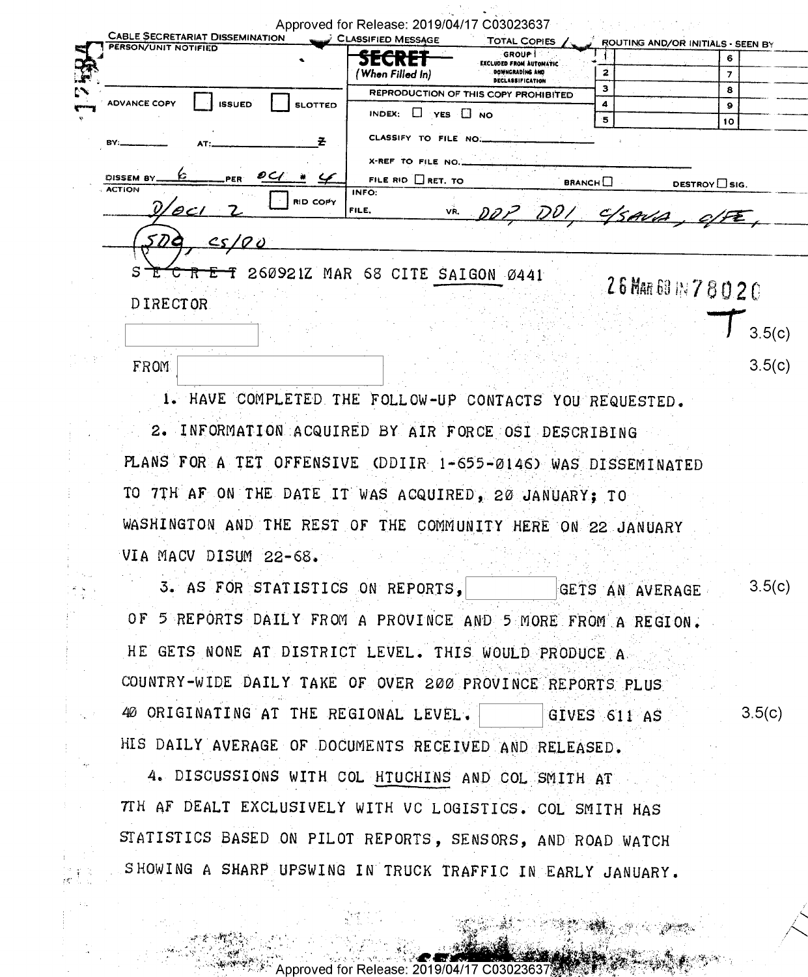| CABLE SECRETARIAT DISSEMINATION            | Approved for Release: 2019/04/17 C03023637                    |                                            |                                   |                     |
|--------------------------------------------|---------------------------------------------------------------|--------------------------------------------|-----------------------------------|---------------------|
| PERSON/UNIT NOTIFIED                       | <b>CLASSIFIED MESSAGE</b>                                     | <b>TOTAL COPIES</b><br>GROUP !             | ROUTING AND/OR INITIALS - SEEN BY |                     |
|                                            |                                                               | EXCLUDED FROM AUTOMATIC<br>DOWNGRADING AND | 2                                 | 6                   |
|                                            | (When Filled In)                                              | <b>DECLASSIFICATION</b>                    | з                                 | $\overline{z}$<br>8 |
| ADVANCE COPY<br><b>ISSUED</b>              | <b>SLOTTED</b>                                                | REPRODUCTION OF THIS COPY PROHIBITED       | 4                                 | 9                   |
|                                            | INDEX: T YES T NO                                             |                                            | 5                                 | 10                  |
| RV                                         | CLASSIFY TO FILE NO.<br>z                                     |                                            |                                   |                     |
|                                            | X-REF TO FILE NO                                              |                                            |                                   |                     |
| O C f<br>DISSEM BY<br>PER<br><b>ACTION</b> | FILE RID $\Box$ RET. TO                                       |                                            | <b>BRANCH</b>                     | DESTROY SIG.        |
| $'\mathscr{O}$ C l                         | INFO:<br><b>RID COPY</b><br>FILE.                             |                                            |                                   |                     |
|                                            |                                                               | DOP DOI, C/SAVA, CI                        |                                   |                     |
| <u>cs/00</u>                               |                                                               |                                            |                                   |                     |
|                                            |                                                               |                                            |                                   |                     |
| s                                          | 260921Z MAR 68 CITE SAIGON 0441                               |                                            | 26 MAR 69 IN 7 8 0 2 0            |                     |
| <b>DIRECTOR</b>                            |                                                               |                                            |                                   |                     |
|                                            |                                                               |                                            |                                   |                     |
|                                            |                                                               |                                            |                                   | 3.5(c)              |
| <b>FROM</b>                                |                                                               |                                            |                                   | 3.5(c)              |
|                                            |                                                               |                                            |                                   |                     |
|                                            | 1. HAVE COMPLETED THE FOLLOW-UP CONTACTS YOU REQUESTED.       |                                            |                                   |                     |
|                                            | 2. INFORMATION ACQUIRED BY AIR FORCE OSI DESCRIBING           |                                            |                                   |                     |
|                                            |                                                               |                                            |                                   |                     |
|                                            | PLANS FOR A TET OFFENSIVE (DDIIR 1-655-0146) WAS DISSEMINATED |                                            |                                   |                     |
|                                            | TO 7TH AF ON THE DATE IT WAS ACQUIRED, 20 JANUARY; TO         |                                            |                                   |                     |
|                                            |                                                               |                                            |                                   |                     |
|                                            | WASHINGTON AND THE REST OF THE COMMUNITY HERE ON 22 JANUARY   |                                            |                                   |                     |
| VIA MACV DISUM 22-68.                      |                                                               |                                            |                                   |                     |
|                                            |                                                               |                                            |                                   |                     |
|                                            | 3. AS FOR STATISTICS ON REPORTS.                              |                                            | GETS AN AVERAGE                   | 3.5(c)              |
|                                            |                                                               |                                            |                                   |                     |
|                                            | OF 5 REPORTS DAILY FROM A PROVINCE AND 5 MORE FROM A REGION.  |                                            |                                   |                     |
|                                            | HE GETS NONE AT DISTRICT LEVEL. THIS WOULD PRODUCE A          |                                            |                                   |                     |
|                                            |                                                               |                                            |                                   |                     |
|                                            | COUNTRY-WIDE DAILY TAKE OF OVER 200 PROVINCE BEPOPTS PLUS     |                                            |                                   |                     |

40 ORIGINATING AT THE REGIONAL LEVEL.  $3.5(c)$ GIVES 611 AS HIS DAILY AVERAGE OF DOCUMENTS RECEIVED AND RELEASED.

4. DISCUSSIONS WITH COL HTUCHINS AND COL SMITH AT TH AF DEALT EXCLUSIVELY WITH VC LOGISTICS. COL SMITH HAS STATISTICS BASED ON PILOT REPORTS, SENSORS, AND ROAD WATCH SHOWING A SHARP UPSWING IN TRUCK TRAFFIC IN EARLY JANUARY.

for Relea